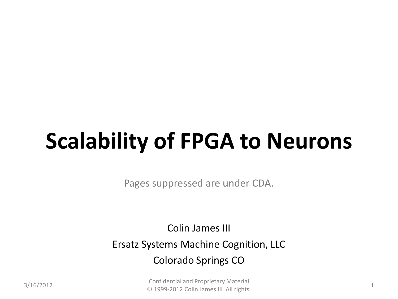# **Scalability of FPGA to Neurons**

Pages suppressed are under CDA.

Colin James III Ersatz Systems Machine Cognition, LLC Colorado Springs CO

3/16/2012 Confidential and Proprietary Material © 1999-2012 Colin James III All rights. <sup>1</sup>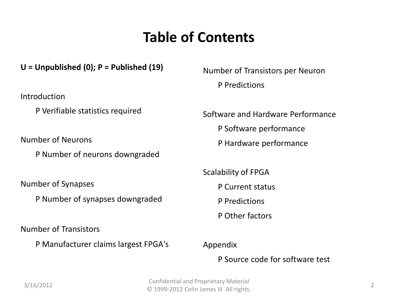#### **Table of Contents**

#### **U = Unpublished (0); P = Published (19)**

Introduction

P Verifiable statistics required

Number of Neurons

P Number of neurons downgraded

Number of Synapses

P Number of synapses downgraded

Number of Transistors

P Manufacturer claims largest FPGA's

Number of Transistors per Neuron P Predictions

Software and Hardware Performance

P Software performance

P Hardware performance

Scalability of FPGA

P Current status

P Predictions

P Other factors

Appendix

P Source code for software test

3/16/2012 Confidential and Proprietary Material © 1999-2012 Colin James III All rights. <sup>2</sup>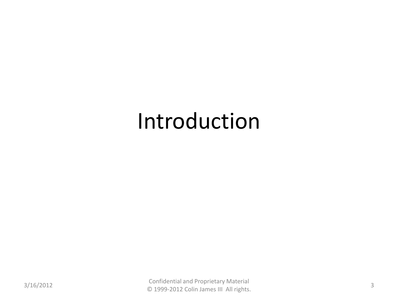### Introduction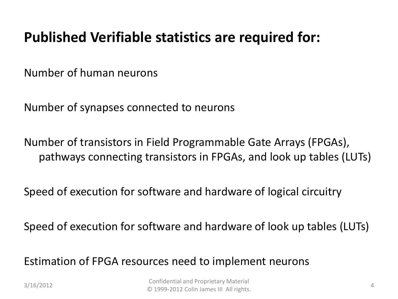#### **Published Verifiable statistics are required for:**

Number of human neurons

Number of synapses connected to neurons

Number of transistors in Field Programmable Gate Arrays (FPGAs), pathways connecting transistors in FPGAs, and look up tables (LUTs)

Speed of execution for software and hardware of logical circuitry

Speed of execution for software and hardware of look up tables (LUTs)

Estimation of FPGA resources need to implement neurons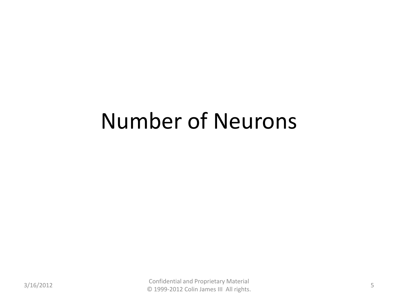### Number of Neurons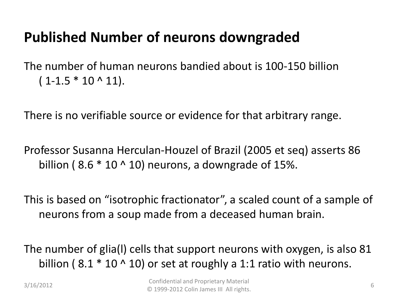### **Published Number of neurons downgraded**

The number of human neurons bandied about is 100-150 billion  $(1 - 1.5 * 10 \wedge 11).$ 

There is no verifiable source or evidence for that arbitrary range.

Professor Susanna Herculan-Houzel of Brazil (2005 et seq) asserts 86 billion (8.6  $*$  10  $\land$  10) neurons, a downgrade of 15%.

This is based on "isotrophic fractionator", a scaled count of a sample of neurons from a soup made from a deceased human brain.

The number of glia(l) cells that support neurons with oxygen, is also 81 billion (8.1  $*$  10  $\land$  10) or set at roughly a 1:1 ratio with neurons.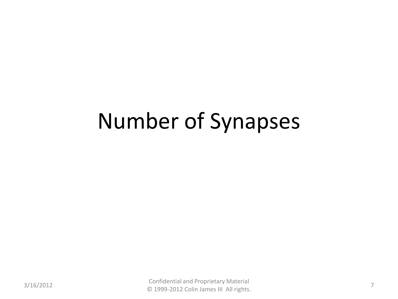## Number of Synapses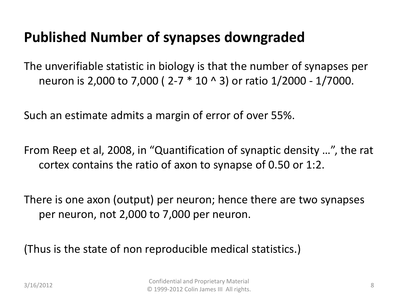#### **Published Number of synapses downgraded**

The unverifiable statistic in biology is that the number of synapses per neuron is 2,000 to 7,000 ( 2-7 \* 10 ^ 3) or ratio 1/2000 - 1/7000.

Such an estimate admits a margin of error of over 55%.

From Reep et al, 2008, in "Quantification of synaptic density …", the rat cortex contains the ratio of axon to synapse of 0.50 or 1:2.

There is one axon (output) per neuron; hence there are two synapses per neuron, not 2,000 to 7,000 per neuron.

(Thus is the state of non reproducible medical statistics.)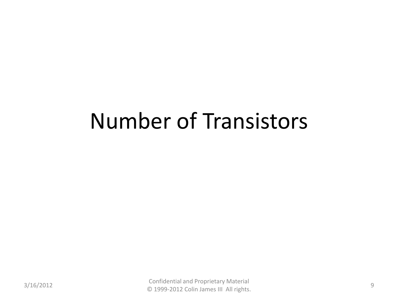### Number of Transistors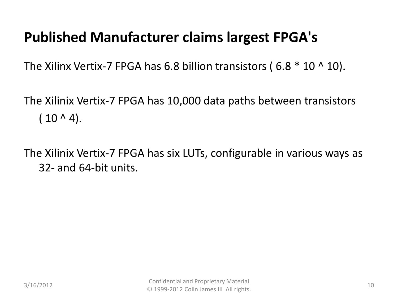#### **Published Manufacturer claims largest FPGA's**

The Xilinx Vertix-7 FPGA has 6.8 billion transistors (6.8  $*$  10  $\land$  10).

The Xilinix Vertix-7 FPGA has 10,000 data paths between transistors  $( 10 \wedge 4).$ 

The Xilinix Vertix-7 FPGA has six LUTs, configurable in various ways as 32- and 64-bit units.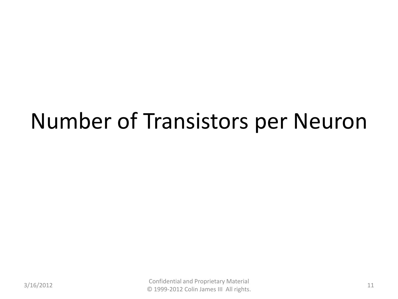### Number of Transistors per Neuron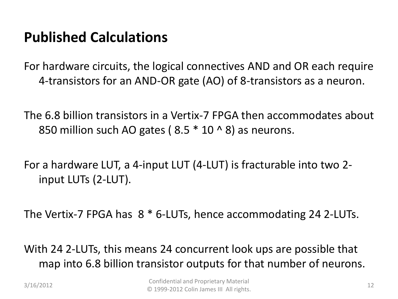#### **Published Calculations**

For hardware circuits, the logical connectives AND and OR each require 4-transistors for an AND-OR gate (AO) of 8-transistors as a neuron.

The 6.8 billion transistors in a Vertix-7 FPGA then accommodates about 850 million such AO gates ( $8.5 * 10 * 8$ ) as neurons.

For a hardware LUT, a 4-input LUT (4-LUT) is fracturable into two 2 input LUTs (2-LUT).

The Vertix-7 FPGA has 8 \* 6-LUTs, hence accommodating 24 2-LUTs.

With 24 2-LUTs, this means 24 concurrent look ups are possible that map into 6.8 billion transistor outputs for that number of neurons.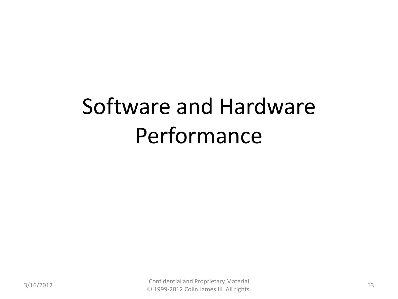# Software and Hardware Performance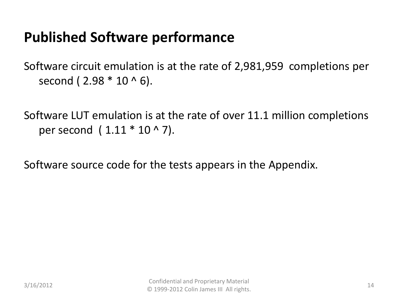#### **Published Software performance**

Software circuit emulation is at the rate of 2,981,959 completions per second ( $2.98 * 10 * 6$ ).

Software LUT emulation is at the rate of over 11.1 million completions per second ( 1.11 \* 10 ^ 7).

Software source code for the tests appears in the Appendix.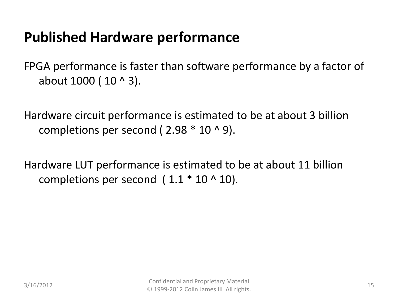#### **Published Hardware performance**

FPGA performance is faster than software performance by a factor of about 1000 ( 10 ^ 3).

Hardware circuit performance is estimated to be at about 3 billion completions per second ( $2.98 * 10 * 9$ ).

Hardware LUT performance is estimated to be at about 11 billion completions per second  $(1.1 * 10 * 10)$ .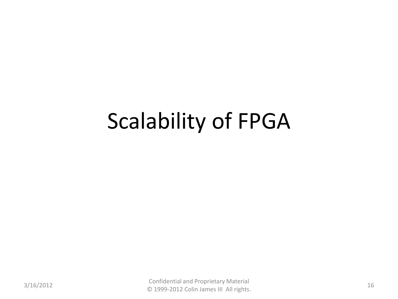### Scalability of FPGA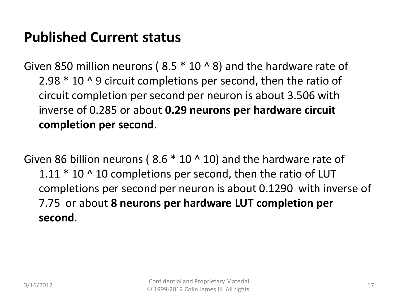#### **Published Current status**

Given 850 million neurons ( $8.5 * 10 * 8$ ) and the hardware rate of 2.98 \* 10 ^ 9 circuit completions per second, then the ratio of circuit completion per second per neuron is about 3.506 with inverse of 0.285 or about **0.29 neurons per hardware circuit completion per second**.

Given 86 billion neurons ( $8.6 * 10 \land 10$ ) and the hardware rate of 1.11  $*$  10  $\land$  10 completions per second, then the ratio of LUT completions per second per neuron is about 0.1290 with inverse of 7.75 or about **8 neurons per hardware LUT completion per second**.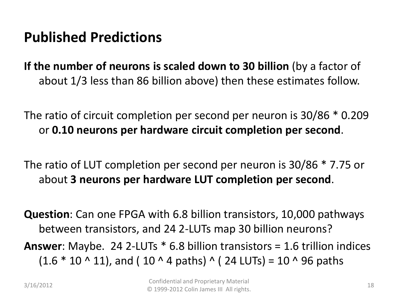#### **Published Predictions**

**If the number of neurons is scaled down to 30 billion** (by a factor of about 1/3 less than 86 billion above) then these estimates follow.

The ratio of circuit completion per second per neuron is 30/86 \* 0.209 or **0.10 neurons per hardware circuit completion per second**.

The ratio of LUT completion per second per neuron is 30/86 \* 7.75 or about **3 neurons per hardware LUT completion per second**.

**Question**: Can one FPGA with 6.8 billion transistors, 10,000 pathways between transistors, and 24 2-LUTs map 30 billion neurons? **Answer**: Maybe. 24 2-LUTs \* 6.8 billion transistors = 1.6 trillion indices  $(1.6 * 10 \cdot 11)$ , and (10  $\land$  4 paths)  $\land$  (24 LUTs) = 10  $\land$  96 paths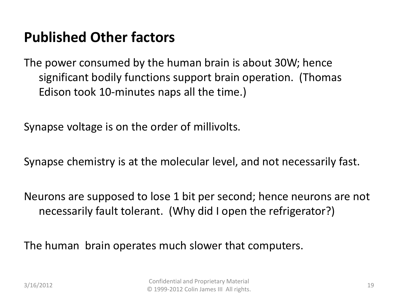#### **Published Other factors**

The power consumed by the human brain is about 30W; hence significant bodily functions support brain operation. (Thomas Edison took 10-minutes naps all the time.)

Synapse voltage is on the order of millivolts.

Synapse chemistry is at the molecular level, and not necessarily fast.

Neurons are supposed to lose 1 bit per second; hence neurons are not necessarily fault tolerant. (Why did I open the refrigerator?)

The human brain operates much slower that computers.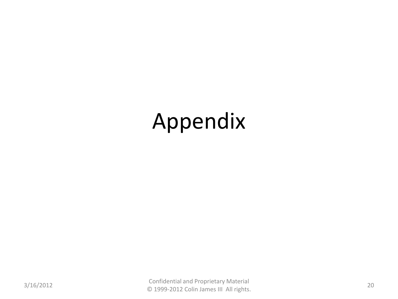# Appendix